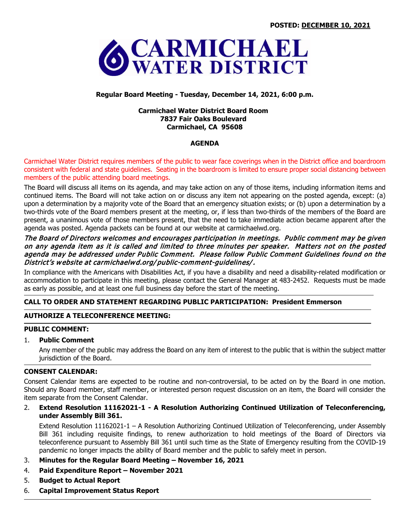

# **Regular Board Meeting - Tuesday, December 14, 2021, 6:00 p.m.**

### **Carmichael Water District Board Room 7837 Fair Oaks Boulevard Carmichael, CA 95608**

## **AGENDA**

Carmichael Water District requires members of the public to wear face coverings when in the District office and boardroom consistent with federal and state guidelines. Seating in the boardroom is limited to ensure proper social distancing between members of the public attending board meetings.

The Board will discuss all items on its agenda, and may take action on any of those items, including information items and continued items. The Board will not take action on or discuss any item not appearing on the posted agenda, except: (a) upon a determination by a majority vote of the Board that an emergency situation exists; or (b) upon a determination by a two-thirds vote of the Board members present at the meeting, or, if less than two-thirds of the members of the Board are present, a unanimous vote of those members present, that the need to take immediate action became apparent after the agenda was posted. Agenda packets can be found at our website at carmichaelwd.org.

## The Board of Directors welcomes and encourages participation in meetings. Public comment may be given on any agenda item as it is called and limited to three minutes per speaker. Matters not on the posted agenda may be addressed under Public Comment. Please follow Public Comment Guidelines found on the District's website at carmichaelwd.org/ public-comment-guidelines/.

In compliance with the Americans with Disabilities Act, if you have a disability and need a disability-related modification or accommodation to participate in this meeting, please contact the General Manager at 483-2452. Requests must be made as early as possible, and at least one full business day before the start of the meeting.

## **CALL TO ORDER AND STATEMENT REGARDING PUBLIC PARTICIPATION: President Emmerson**

## **AUTHORIZE A TELECONFERENCE MEETING:**

#### **PUBLIC COMMENT:**

#### 1. **Public Comment**

Any member of the public may address the Board on any item of interest to the public that is within the subject matter jurisdiction of the Board.

### **CONSENT CALENDAR:**

Consent Calendar items are expected to be routine and non-controversial, to be acted on by the Board in one motion. Should any Board member, staff member, or interested person request discussion on an item, the Board will consider the item separate from the Consent Calendar.

## 2. **Extend Resolution 11162021-1 - A Resolution Authorizing Continued Utilization of Teleconferencing, under Assembly Bill 361.**

Extend Resolution 11162021-1 – A Resolution Authorizing Continued Utilization of Teleconferencing, under Assembly Bill 361 including requisite findings, to renew authorization to hold meetings of the Board of Directors via teleconference pursuant to Assembly Bill 361 until such time as the State of Emergency resulting from the COVID-19 pandemic no longer impacts the ability of Board member and the public to safely meet in person.

- 3. **Minutes for the Regular Board Meeting – November 16, 2021**
- 4. **Paid Expenditure Report – November 2021**
- 5. **Budget to Actual Report**
- 6. **Capital Improvement Status Report**